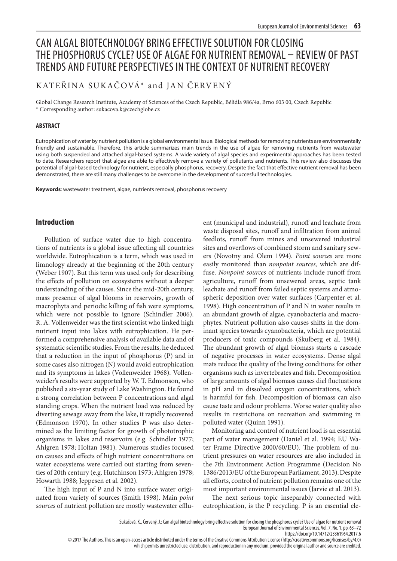# CAN ALGAL BIOTECHNOLOGY BRING EFFECTIVE SOLUTION FOR CLOSING THE PHOSPHORUS CYCLE? USE OF ALGAE FOR NUTRIENT REMOVAL – REVIEW OF PAST TRENDS AND FUTURE PERSPECTIVES IN THE CONTEXT OF NUTRIENT RECOVERY

# KATEŘINA SUKAČ OVÁ\* and JAN ČERVENÝ

Global Change Research Institute, Academy of Sciences of the Czech Republic, Bělidla 986/4a, Brno 603 00, Czech Republic \* Corresponding author: sukacova.k@czechglobe.cz

#### **ABSTRACT**

Eutrophication of water by nutrient pollution is a global environmental issue. Biological methods for removing nutrients are environmentally friendly and sustainable. Therefore, this article summarizes main trends in the use of algae for removing nutrients from wastewater using both suspended and attached algal-based systems. A wide variety of algal species and experimental approaches has been tested to date. Researchers report that algae are able to effectively remove a variety of pollutants and nutrients. This review also discusses the potential of algal-based technology for nutrient, especially phosphorus, recovery. Despite the fact that effective nutrient removal has been demonstrated, there are still many challenges to be overcome in the development of succesfull technologies.

**Keywords**: wastewater treatment, algae, nutrients removal, phosphorus recovery

# **Introduction**

Pollution of surface water due to high concentrations of nutrients is a global issue affecting all countries worldwide. Eutrophication is a term, which was used in limnology already at the beginning of the 20th century (Weber 1907). But this term was used only for describing the effects of pollution on ecosystems without a deeper understanding of the causes. Since the mid-20th century, mass presence of algal blooms in reservoirs, growth of macrophyta and periodic killing of fish were symptoms, which were not possible to ignore (Schindler 2006). R. A. Vollenweider was the first scientist who linked high nutrient input into lakes with eutrophication. He performed a comprehensive analysis of available data and of systematic scientific studies. From the results, he deduced that a reduction in the input of phosphorus (P) and in some cases also nitrogen (N) would avoid eutrophication and its symptoms in lakes (Vollenweider 1968). Vollenweider's results were supported by W. T. Edmonson, who published a six-year study of Lake Washington. He found a strong correlation between P concentrations and algal standing crops. When the nutrient load was reduced by diverting sewage away from the lake, it rapidly recovered (Edmonson 1970). In other studies P was also determined as the limiting factor for growth of phototrophic organisms in lakes and reservoirs (e.g. Schindler 1977; Ahlgren 1978; Holtan 1981). Numerous studies focused on causes and effects of high nutrient concentrations on water ecosystems were carried out starting from seventies of 20th century (e.g. Hutchinson 1973; Ahlgren 1978; Howarth 1988; Jeppesen et al. 2002).

The high input of P and N into surface water originated from variety of sources (Smith 1998). Main *point sources* of nutrient pollution are mostly wastewater efflu-

ent (municipal and industrial), runoff and leachate from waste disposal sites, runoff and infiltration from animal feedlots, runoff from mines and unsewered industrial sites and overflows of combined storm and sanitary sewers (Novotny and Olem 1994). *Point sources* are more easily monitored than *nonpoint sources,* which are diffuse. *Nonpoint sources* of nutrients include runoff from agriculture, runoff from unsewered areas, septic tank leachate and runoff from failed septic systems and atmospheric deposition over water surfaces (Carpenter et al. 1998). High concentration of P and N in water results in an abundant growth of algae, cyanobacteria and macrophytes. Nutrient pollution also causes shifts in the dominant species towards cyanobacteria, which are potential producers of toxic compounds (Skulberg et al. 1984). The abundant growth of algal biomass starts a cascade of negative processes in water ecosystems. Dense algal mats reduce the quality of the living conditions for other organisms such as invertebrates and fish. Decomposition of large amounts of algal biomass causes diel fluctuations in pH and in dissolved oxygen concentrations, which is harmful for fish. Decomposition of biomass can also cause taste and odour problems. Worse water quality also results in restrictions on recreation and swimming in polluted water (Quinn 1991).

Monitoring and control of nutrient load is an essential part of water management (Daniel et al. 1994; EU Water Frame Directive 2000/60/EU). The problem of nutrient pressures on water resources are also included in the 7th Environment Action Programme (Decision No 1386/2013/EU of the European Parliament, 2013). Despite all efforts, control of nutrient pollution remains one of the most important environmental issues (Jarvie et al. 2013).

The next serious topic inseparably connected with eutrophication, is the P recycling. P is an essential ele-

https://doi.org/10.14712/23361964.2017.6

© 2017 The Authors. This is an open-access article distributed under the terms of the Creative Commons Attribution License (http://creativecommons.org/licenses/by/4.0) which permits unrestricted use, distribution, and reproduction in any medium, provided the original author and source are credited.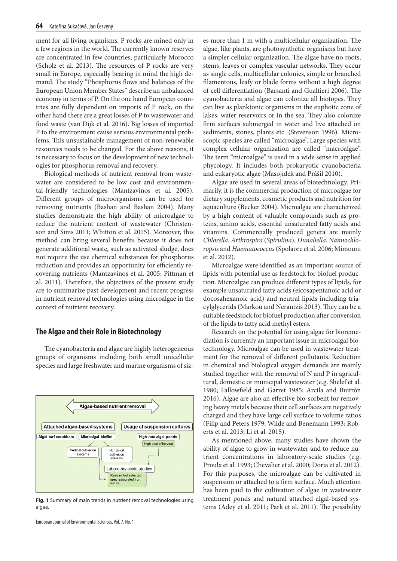ment for all living organisms. P rocks are mined only in a few regions in the world. The currently known reserves are concentrated in few countries, particularly Morocco (Scholz et al. 2013). The resources of P rocks are very small in Europe, especially bearing in mind the high demand. The study "Phosphorus flows and balances of the European Union Member States" describe an unbalanced economy in terms of P. On the one hand European countries are fully dependent on imports of P rock, on the other hand there are a great losses of P to wastewater and food waste (van Dijk et al. 2016). Big losses of imported P to the environment cause serious environmental problems. This unsustainable management of non-renewable resources needs to be changed. For the above reasons, it is necessary to focus on the development of new technologies for phosphorus removal and recovery.

Biological methods of nutrient removal from wastewater are considered to be low cost and environmental-friendly technologies (Mantzavinos et al. 2005). Different groups of microorganisms can be used for removing nutrients (Bashan and Bashan 2004). Many studies demonstrate the high ability of microalgae to reduce the nutrient content of wastewater (Christenson and Sims 2011; Whitton et al. 2015). Moreover, this method can bring several benefits because it does not generate additional waste, such as activated sludge, does not require the use chemical substances for phosphorus reduction and provides an opportunity for efficiently recovering nutrients (Mantzavinos et al. 2005; Pittman et al. 2011). Therefore, the objectives of the present study are to summarize past development and recent progress in nutrient removal technologies using microalgae in the context of nutrient recovery.

## **The Algae and their Role in Biotechnology**

The cyanobacteria and algae are highly heterogeneous groups of organisms including both small unicellular species and large freshwater and marine organisms of siz-



**Fig. 1** Summary of main trends in nutrient removal technologies using algae.

European Journal of Environmental Sciences, Vol. 7, No. 1

es more than 1 m with a multicellular organization. The algae, like plants, are photosynthetic organisms but have a simpler cellular organization. The algae have no roots, stems, leaves or complex vascular networks. They occur as single cells, multicellular colonies, simple or branched filamentous, leafy or blade forms without a high degree of cell differentiation (Barsanti and Gualtieri 2006). The cyanobacteria and algae can colonize all biotopes. They can live as planktonic organisms in the euphotic zone of lakes, water reservoirs or in the sea. They also colonize firm surfaces submerged in water and live attached on sediments, stones, plants etc. (Stevenson 1996). Microscopic species are called "microalgae". Large species with complex cellular organization are called "macroalgae". The term "microalgae" is used in a wide sense in applied phycology. It includes both prokaryotic cyanobacteria and eukaryotic algae (Masojídek and Prášil 2010).

Algae are used in several areas of biotechnology. Primarily, it is the commercial production of microalgae for dietary supplements, cosmetic products and nutrition for aquaculture (Becker 2004). Microalgae are characterized by a high content of valuable compounds such as proteins, amino acids, essential unsaturated fatty acids and vitamins. Commercially produced genera are mainly *Chlorella*, *Arthrospira* (*Spirulina*), *Dunaliella*, *Nannochloropsis* and *Haematococcus* (Spolaore et al. 2006; Mimouni et al. 2012).

Microalgae were identified as an important source of lipids with potential use as feedstock for biofuel production. Microalgae can produce different types of lipids, for example unsaturated fatty acids (eicosapentanoic acid or docosahexanoic acid) and neutral lipids including triacylglycerids (Markou and Nerantzis 2013). They can be a suitable feedstock for biofuel production after conversion of the lipids to fatty acid methyl esters.

Research on the potential for using algae for bioremediation is currently an important issue in microalgal biotechnology. Microalgae can be used in wastewater treatment for the removal of different pollutants. Reduction in chemical and biological oxygen demands are mainly studied together with the removal of N and P in agricultural, domestic or municipal wastewater (e.g. Shelef et al. 1980; Fallowfield and Garret 1985; Arcila and Buitrón 2016). Algae are also an effective bio-sorbent for removing heavy metals because their cell surfaces are negatively charged and they have large cell surface to volume ratios (Filip and Peters 1979; Wilde and Benemann 1993; Roberts et al. 2013; Li et al. 2015).

As mentioned above, many studies have shown the ability of algae to grow in wastewater and to reduce nutrient concentrations in laboratory-scale studies (e.g. Proulx et al. 1993; Chevalier et al. 2000; Doria et al. 2012). For this purposes, the microalgae can be cultivated in suspension or attached to a firm surface. Much attention has been paid to the cultivation of algae in wastewater treatment ponds and natural attached algal-based systems (Adey et al. 2011; Park et al. 2011). The possibility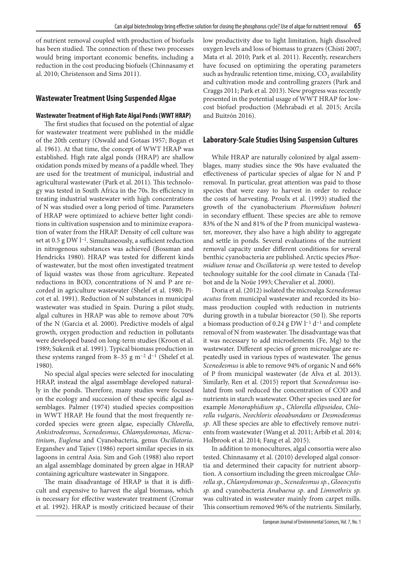of nutrient removal coupled with production of biofuels has been studied. The connection of these two processes would bring important economic benefits, including a reduction in the cost producing biofuels (Chinnasamy et al. 2010; Christenson and Sims 2011).

# **Wastewater Treatment Using Suspended Algae**

#### **Wastewater Treatment of High Rate Algal Ponds (WWT HRAP)**

The first studies that focused on the potential of algae for wastewater treatment were published in the middle of the 20th century (Oswald and Gotaas 1957; Bogan et al. 1961). At that time, the concept of WWT HRAP was established. High rate algal ponds (HRAP) are shallow oxidation ponds mixed by means of a paddle wheel. They are used for the treatment of municipal, industrial and agricultural wastewater (Park et al. 2011). This technology was tested in South Africa in the 70s. Its efficiency in treating industrial wastewater with high concentrations of N was studied over a long period of time. Parameters of HRAP were optimized to achieve better light conditions in cultivation suspension and to minimize evaporation of water from the HRAP. Density of cell culture was set at 0.5 g DW l<sup>-1</sup>. Simultaneously, a sufficient reduction in nitrogenous substances was achieved (Bossman and Hendricks 1980). HRAP was tested for different kinds of wastewater, but the most often investigated treatment of liquid wastes was those from agriculture. Repeated reductions in BOD, concentrations of N and P are recorded in agriculture wastewater (Shelef et al. 1980; Picot et al. 1991). Reduction of N substances in municipal wastewater was studied in Spain. During a pilot study, algal cultures in HRAP was able to remove about 70% of the N (Garcia et al. 2000). Predictive models of algal growth, oxygen production and reduction in pollutants were developed based on long-term studies (Kroon et al. 1989; Sukenik et al. 1991). Typical biomass production in these systems ranged from 8–35 g m<sup>-2</sup> d<sup>-1</sup> (Shelef et al. 1980).

No special algal species were selected for inoculating HRAP, instead the algal assemblage developed naturally in the ponds. Therefore, many studies were focused on the ecology and succession of these specific algal assemblages. Palmer (1974) studied species composition in WWT HRAP. He found that the most frequently recorded species were green algae, especially *Chlorella*, *Ankistrodesmus*, *Scenedesmus*, *Chlamydomonas*, *Micractinium*, *Euglena* and Cyanobacteria, genus *Oscillatoria*. Erganshev and Tajiev (1986) report similar species in six lagoons in central Asia. Sim and Goh (1988) also report an algal assemblage dominated by green algae in HRAP containing agriculture wastewater in Singapore.

The main disadvantage of HRAP is that it is difficult and expensive to harvest the algal biomass, which is necessary for effective wastewater treatment (Cromar et al. 1992). HRAP is mostly criticized because of their low productivity due to light limitation, high dissolved oxygen levels and loss of biomass to grazers (Chisti 2007; Mata et al. 2010; Park et al. 2011). Recently, researchers have focused on optimizing the operating parameters such as hydraulic retention time, mixing,  $CO<sub>2</sub>$  availability and cultivation mode and controlling grazers (Park and Craggs 2011; Park et al. 2013). New progress was recently presented in the potential usage of WWT HRAP for lowcost biofuel production (Mehrabadi et al. 2015; Arcila and Buitrón 2016).

#### **Laboratory-Scale Studies Using Suspension Cultures**

While HRAP are naturally colonized by algal assemblages, many studies since the 90s have evaluated the effectiveness of particular species of algae for N and P removal. In particular, great attention was paid to those species that were easy to harvest in order to reduce the costs of harvesting. Proulx et al. (1993) studied the growth of the cyanobacterium *Phormidium bohneri* in secondary effluent. These species are able to remove 83% of the N and 81% of the P from municipal wastewater, moreover, they also have a high ability to aggregate and settle in ponds. Several evaluations of the nutrient removal capacity under different conditions for several benthic cyanobacteria are published. Arctic species *Phormidium tenue* and *Oscillatoria sp.* were tested to develop technology suitable for the cool climate in Canada (Talbot and de la Noüe 1993; Chevalier et al. 2000).

Doria et al. (2012) isolated the microalga *Scenedesmus acutus* from municipal wastewater and recorded its biomass production coupled with reduction in nutrients during growth in a tubular bioreactor (50 l). She reports a biomass production of 0.24 g DW l−1 d−1 and complete removal of N from wastewater. The disadvantage was that it was necessary to add microelements (Fe, Mg) to the wastewater. Different species of green microalgae are repeatedly used in various types of wastewater. The genus *Scenedesmus* is able to remove 94% of organic N and 66% of P from municipal wastewater (de Alva et al. 2013). Similarly, Ren et al. (2015) report that *Scenedesmus* isolated from soil reduced the concentration of COD and nutrients in starch wastewater. Other species used are for example *Monoraphidium sp*., *Chlorella ellipsoidea*, *Chlorella vulgaris*, *Neochloris oleoabundans* or *Desmodesmus sp*. All these species are able to effectively remove nutrients from wastewater (Wang et al. 2011; Arbib et al. 2014; Holbrook et al. 2014; Fang et al. 2015).

In addition to monocultures, algal consortia were also tested. Chinnasamy et al. (2010) developed algal consortia and determined their capacity for nutrient absorption. A consortium including the green microalgae *Chlorella sp.*, *Chlamydomonas sp.*, *Scenedesmus sp.*, *Gloeocystis sp.* and cyanobacteria *Anabaena sp*. and *Limnothrix sp.*  was cultivated in wastewater mainly from carpet mills. This consortium removed 96% of the nutrients. Similarly,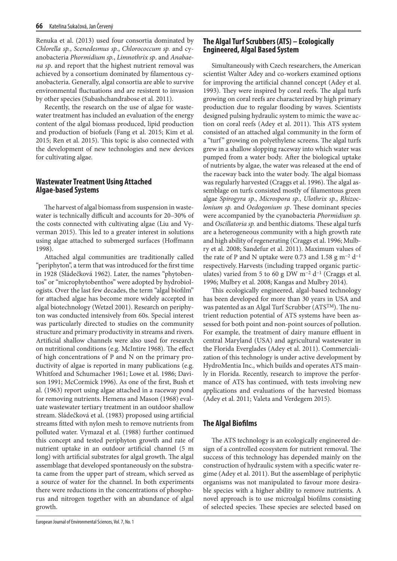Renuka et al. (2013) used four consortia dominated by *Chlorella sp.*, *Scenedesmus sp.*, *Chlorococcum sp.* and cyanobacteria *Phormidium sp.*, *Limnothrix sp*. and *Anabaena sp*. and report that the highest nutrient removal was achieved by a consortium dominated by filamentous cyanobacteria. Generally, algal consortia are able to survive environmental fluctuations and are resistent to invasion by other species (Subashchandrabose et al. 2011).

Recently, the research on the use of algae for wastewater treatment has included an evaluation of the energy content of the algal biomass produced, lipid production and production of biofuels (Fang et al. 2015; Kim et al. 2015; Ren et al. 2015). This topic is also connected with the development of new technologies and new devices for cultivating algae.

# **Wastewater Treatment Using Attached Algae-based Systems**

The harvest of algal biomass from suspension in wastewater is technically difficult and accounts for 20–30% of the costs connected with cultivating algae (Liu and Vyverman 2015). This led to a greater interest in solutions using algae attached to submerged surfaces (Hoffmann 1998).

Attached algal communities are traditionally called "periphyton", a term that was introduced for the first time in 1928 (Sládečková 1962). Later, the names "phytobentos" or "microphytobenthos" were adopted by hydrobiologists. Over the last few decades, the term "algal biofilm" for attached algae has become more widely accepted in algal biotechnology (Wetzel 2001). Research on periphyton was conducted intensively from 60s. Special interest was particularly directed to studies on the community structure and primary productivity in streams and rivers. Artificial shallow channels were also used for research on nutritional conditions (e.g. McIntire 1968). The effect of high concentrations of P and N on the primary productivity of algae is reported in many publications (e.g. Whitford and Schumacher 1961; Lowe et al. 1986; Davison 1991; McCormick 1996). As one of the first, Bush et al. (1963) report using algae attached in a raceway pond for removing nutrients. Hemens and Mason (1968) evaluate wastewater tertiary treatment in an outdoor shallow stream. Sládečková et al. (1983) proposed using artificial streams fitted with nylon mesh to remove nutrients from polluted water. Vymazal et al. (1988) further continued this concept and tested periphyton growth and rate of nutrient uptake in an outdoor artificial channel (5 m long) with artificial substrates for algal growth. The algal assemblage that developed spontaneously on the substrata came from the upper part of stream, which served as a source of water for the channel. In both experiments there were reductions in the concentrations of phosphorus and nitrogen together with an abundance of algal growth.

# **The Algal Turf Scrubbers (ATS) – Ecologically Engineered, Algal Based System**

Simultaneously with Czech researchers, the American scientist Walter Adey and co-workers examined options for improving the artificial channel concept (Adey et al. 1993). They were inspired by coral reefs. The algal turfs growing on coral reefs are characterized by high primary production due to regular flooding by waves. Scientists designed pulsing hydraulic system to mimic the wave action on coral reefs (Adey et al. 2011). This ATS system consisted of an attached algal community in the form of a "turf" growing on polyethylene screens. The algal turfs grew in a shallow slopping raceway into which water was pumped from a water body. After the biological uptake of nutrients by algae, the water was released at the end of the raceway back into the water body. The algal biomass was regularly harvested (Craggs et al. 1996). The algal assemblage on turfs consisted mostly of filamentous green algae *Spirogyra sp.*, *Microspora sp.*, *Ulothrix sp.*, *Rhizoclonium sp.* and *Oedogonium sp*. These dominant species were accompanied by the cyanobacteria *Phormidium sp.*  and *Oscillatoria sp.* and benthic diatoms. These algal turfs are a heterogeneous community with a high growth rate and high ability of regenerating (Craggs et al. 1996; Mulbry et al. 2008; Sandefur et al. 2011). Maximum values of the rate of P and N uptake were 0.73 and 1.58 g m<sup>-2</sup> d<sup>-1</sup> respectively. Harvests (including trapped organic particulates) varied from 5 to 60 g DW m<sup>-2</sup> d<sup>-1</sup> (Craggs et al. 1996; Mulbry et al. 2008; Kangas and Mulbry 2014).

This ecologically engineered, algal-based technology has been developed for more than 30 years in USA and was patented as an Algal Turf Scrubber (ATSTM). The nutrient reduction potential of ATS systems have been assessed for both point and non-point sources of pollution. For example, the treatment of dairy manure effluent in central Maryland (USA) and agricultural wastewater in the Florida Everglades (Adey et al. 2011). Commercialization of this technology is under active development by HydroMentia Inc., which builds and operates ATS mainly in Florida. Recently, research to improve the performance of ATS has continued, with tests involving new applications and evaluations of the harvested biomass (Adey et al. 2011; Valeta and Verdegem 2015).

# **The Algal Biofilms**

The ATS technology is an ecologically engineered design of a controlled ecosystem for nutrient removal. The success of this technology has depended mainly on the construction of hydraulic system with a specific water regime (Adey et al. 2011). But the assemblage of periphytic organisms was not manipulated to favour more desirable species with a higher ability to remove nutrients. A novel approach is to use microalgal biofilms consisting of selected species. These species are selected based on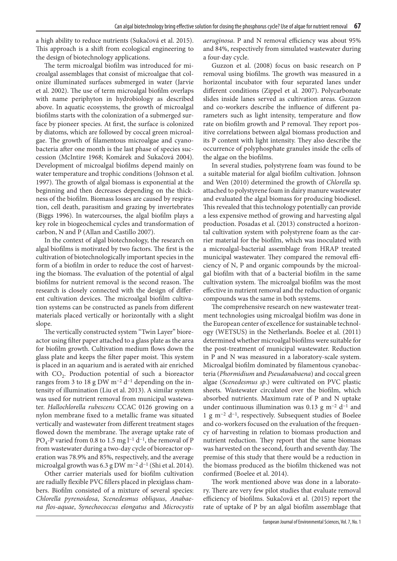a high ability to reduce nutrients (Sukačová et al. 2015). This approach is a shift from ecological engineering to the design of biotechnology applications.

The term microalgal biofilm was introduced for microalgal assemblages that consist of microalgae that colonize illuminated surfaces submerged in water (Jarvie et al. 2002). The use of term microalgal biofilm overlaps with name periphyton in hydrobiology as described above. In aquatic ecosystems, the growth of microalgal biofilms starts with the colonization of a submerged surface by pioneer species. At first, the surface is colonized by diatoms, which are followed by coccal green microalgae. The growth of filamentous microalgae and cyanobacteria after one month is the last phase of species succession (McIntire 1968; Komárek and Sukačová 2004). Development of microalgal biofilms depend mainly on water temperature and trophic conditions (Johnson et al. 1997). The growth of algal biomass is exponential at the beginning and then decreases depending on the thickness of the biofilm. Biomass losses are caused by respiration, cell death, parasitism and grazing by invertebrates (Biggs 1996). In watercourses, the algal biofilm plays a key role in biogeochemical cycles and transformation of carbon, N and P (Allan and Castillo 2007).

In the context of algal biotechnology, the research on algal biofilms is motivated by two factors. The first is the cultivation of biotechnologically important species in the form of a biofilm in order to reduce the cost of harvesting the biomass. The evaluation of the potential of algal biofilms for nutrient removal is the second reason. The research is closely connected with the design of different cultivation devices. The microalgal biofilm cultivation systems can be constructed as panels from different materials placed vertically or horizontally with a slight slope.

The vertically constructed system "Twin Layer" bioreactor using filter paper attached to a glass plate as the area for biofilm growth. Cultivation medium flows down the glass plate and keeps the filter paper moist. This system is placed in an aquarium and is aerated with air enriched with  $CO<sub>2</sub>$ . Production potential of such a bioreactor ranges from 3 to 18 g DW m−2 d−1 depending on the intensity of illumination (Liu et al. 2013). A similar system was used for nutrient removal from municipal wastewater. *Hallochlorella rubescens* CCAC 0126 growing on a nylon membrane fixed to a metallic frame was situated vertically and wastewater from different treatment stages flowed down the membrane. The average uptake rate of PO<sub>4</sub>-P varied from 0.8 to 1.5 mg l<sup>-1</sup> d<sup>-1</sup>, the removal of P from wastewater during a two-day cycle of bioreactor operation was 78.9% and 85%, respectively, and the average microalgal growth was 6.3 g DW m−2 d−1 (Shi et al. 2014).

Other carrier materials used for biofilm cultivation are radially flexible PVC fillers placed in plexiglass chambers. Biofilm consisted of a mixture of several species: *Chlorella pyrenoidosa*, *Scenedesmus obliquus*, *Anabaena flos-aquae*, *Synechococcus elongatus* and *Microcystis* 

*aeruginosa*. P and N removal efficiency was about 95% and 84%, respectively from simulated wastewater during a four-day cycle.

Guzzon et al. (2008) focus on basic research on P removal using biofilms. The growth was measured in a horizontal incubator with four separated lanes under different conditions (Zippel et al. 2007). Polycarbonate slides inside lanes served as cultivation areas. Guzzon and co-workers describe the influence of different parameters such as light intensity, temperature and flow rate on biofilm growth and P removal. They report positive correlations between algal biomass production and its P content with light intensity. They also describe the occurrence of polyphosphate granules inside the cells of the algae on the biofilms.

In several studies, polystyrene foam was found to be a suitable material for algal biofilm cultivation. Johnson and Wen (2010) determined the growth of *Chlorella* sp. attached to polystyrene foam in dairy manure wastewater and evaluated the algal biomass for producing biodiesel. This revealed that this technology potentially can provide a less expensive method of growing and harvesting algal production. Posadas et al. (2013) constructed a horizontal cultivation system with polystyrene foam as the carrier material for the biofilm, which was inoculated with a microalgal-bacterial assemblage from HRAP treated municipal wastewater. They compared the removal efficiency of N, P and organic compounds by the microalgal biofilm with that of a bacterial biofilm in the same cultivation system. The microalgal biofilm was the most effective in nutrient removal and the reduction of organic compounds was the same in both systems.

The comprehensive research on new wastewater treatment technologies using microalgal biofilm was done in the European center of excellence for sustainable technology (WETSUS) in the Netherlands. Boelee et al. (2011) determined whether microalgal biofilms were suitable for the post-treatment of municipal wastewater. Reduction in P and N was measured in a laboratory-scale system. Microalgal biofilm dominated by filamentous cyanobacteria (*Phormidium* and *Pseudanabaena*) and coccal green algae (*Scenedesmus sp*.) were cultivated on PVC plastic sheets. Wastewater circulated over the biofilm, which absorbed nutrients. Maximum rate of P and N uptake under continuous illumination was 0.13 g m−2 d−1 and 1 g m−2 d−1, respectively. Subsequent studies of Boelee and co-workers focused on the evaluation of the frequency of harvesting in relation to biomass production and nutrient reduction. They report that the same biomass was harvested on the second, fourth and seventh day. The premise of this study that there would be a reduction in the biomass produced as the biofilm thickened was not confirmed (Boelee et al. 2014).

The work mentioned above was done in a laboratory. There are very few pilot studies that evaluate removal efficiency of biofilms. Sukačová et al. (2015) report the rate of uptake of P by an algal biofilm assemblage that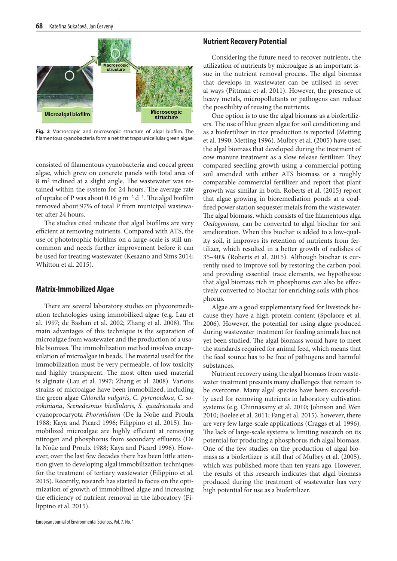

**Fig. 2** Macroscopic and microscopic structure of algal biofilm. The filamentous cyanobacteria form a net that traps unicellular green algae.

consisted of filamentous cyanobacteria and coccal green algae, which grew on concrete panels with total area of 8 m2 inclined at a slight angle. The wastewater was retained within the system for 24 hours. The average rate of uptake of P was about 0.16 g m−2 d−1. The algal biofilm removed about 97% of total P from municipal wastewater after 24 hours.

The studies cited indicate that algal biofilms are very efficient at removing nutrients. Compared with ATS, the use of phototrophic biofilms on a large-scale is still uncommon and needs further improvement before it can be used for treating wastewater (Kesaano and Sims 2014; Whitton et al. 2015).

# **Matrix-Immobilized Algae**

There are several laboratory studies on phycoremediation technologies using immobilized algae (e.g. Lau et al. 1997; de Bashan et al. 2002; Zhang et al. 2008). The main advantages of this technique is the separation of microalgae from wastewater and the production of a usable biomass. The immobilization method involves encapsulation of microalgae in beads. The material used for the immobilization must be very permeable, of low toxicity and highly transparent. The most often used material is alginate (Lau et al. 1997; Zhang et al. 2008). Various strains of microalgae have been immobilized, including the green algae *Chlorella vulgaris*, *C. pyrenoidosa*, *C. sorokiniana*, *Scenedesmus bicellularis*, *S. quadricauda* and cyanoprocaryota *Phormidium* (De la Noüe and Proulx 1988; Kaya and Picard 1996; Filippino et al. 2015). Immobilized microalgae are highly efficient at removing nitrogen and phosphorus from secondary effluents (De la Noüe and Proulx 1988; Kaya and Picard 1996). However, over the last few decades there has been little attention given to developing algal immobilization techniques for the treatment of tertiary wastewater (Filippino et al. 2015). Recently, research has started to focus on the optimization of growth of immobilized algae and increasing the efficiency of nutrient removal in the laboratory (Filippino et al. 2015).

al ways (Pittman et al. 2011). However, the presence of heavy metals, micropollutants or pathogens can reduce the possibility of reusing the nutrients. One option is to use the algal biomass as a biofertiliz-

Considering the future need to recover nutrients, the utilization of nutrients by microalgae is an important issue in the nutrient removal process. The algal biomass that develops in wastewater can be utilised in sever-

**Nutrient Recovery Potential**

ers. The use of blue green algae for soil conditioning and as a biofertilizer in rice production is reported (Metting et al. 1990; Metting 1996). Mulbry et al. (2005) have used the algal biomass that developed during the treatment of cow manure treatment as a slow release fertilizer. They compared seedling growth using a commercial potting soil amended with either ATS biomass or a roughly comparable commercial fertilizer and report that plant growth was similar in both. Roberts et al. (2015) report that algae growing in bioremediation ponds at a coalfired power station sequester metals from the wastewater. The algal biomass, which consists of the filamentous alga *Oedogonium,* can be converted to algal biochar for soil amelioration. When this biochar is added to a low-quality soil, it improves its retention of nutrients from fertilizer, which resulted in a better growth of radishes of 35–40% (Roberts et al. 2015). Although biochar is currently used to improve soil by restoring the carbon pool and providing essential trace elements, we hypothesize that algal biomass rich in phosphorus can also be effectively converted to biochar for enriching soils with phosphorus.

Algae are a good supplementary feed for livestock because they have a high protein content (Spolaore et al. 2006). However, the potential for using algae produced during wastewater treatment for feeding animals has not yet been studied. The algal biomass would have to meet the standards required for animal feed, which means that the feed source has to be free of pathogens and harmful substances.

Nutrient recovery using the algal biomass from wastewater treatment presents many challenges that remain to be overcome. Many algal species have been successfully used for removing nutrients in laboratory cultivation systems (e.g. Chinnasamy et al. 2010; Johnson and Wen 2010; Boelee et al. 2011; Fang et al. 2015), however, there are very few large-scale applications (Craggs et al. 1996). The lack of large-scale systems is limiting research on its potential for producing a phosphorus rich algal biomass. One of the few studies on the production of algal biomass as a biofertlizer is still that of Mulbry et al. (2005), which was published more than ten years ago. However, the results of this research indicates that algal biomass produced during the treatment of wastewater has very high potential for use as a biofertilizer.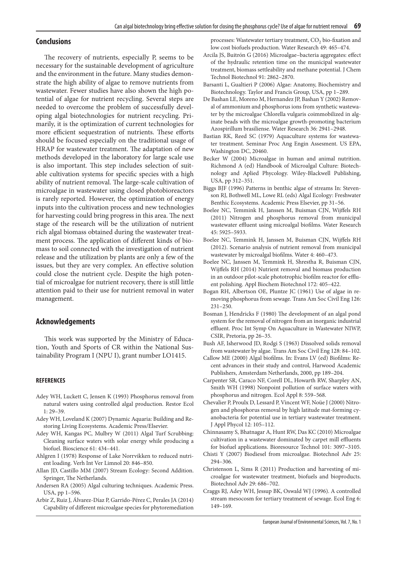## **Conclusions**

The recovery of nutrients, especially P, seems to be necessary for the sustainable development of agriculture and the environment in the future. Many studies demonstrate the high ability of algae to remove nutrients from wastewater. Fewer studies have also shown the high potential of algae for nutrient recycling. Several steps are needed to overcome the problem of successfully developing algal biotechnologies for nutrient recycling. Primarily, it is the optimization of current technologies for more efficient sequestration of nutrients. These efforts should be focused especially on the traditional usage of HRAP for wastewater treatment. The adaptation of new methods developed in the laboratory for large scale use is also important. This step includes selection of suitable cultivation systems for specific species with a high ability of nutrient removal. The large-scale cultivation of microalgae in wastewater using closed photobioreactors is rarely reported. However, the optimization of energy inputs into the cultivation process and new technologies for harvesting could bring progress in this area. The next stage of the research will be the utilization of nutrient rich algal biomass obtained during the wastewater treatment process. The application of different kinds of biomass to soil connected with the investigation of nutrient release and the utilization by plants are only a few of the issues, but they are very complex. An effective solution could close the nutrient cycle. Despite the high potential of microalgae for nutrient recovery, there is still little attention paid to their use for nutrient removal in water management.

#### **Acknowledgements**

This work was supported by the Ministry of Education, Youth and Sports of CR within the National Sustainability Program I (NPU I), grant number LO1415.

#### **REFERENCES**

- Adey WH, Luckett C, Jensen K (1993) Phosphorus removal from natural waters using controlled algal production. Restor Ecol 1: 29–39.
- Adey WH, Loveland K (2007) Dynamic Aquaria: Building and Restoring Living Ecosystems. Academic Press/Elsevier.
- Adey WH, Kangas PC, Mulbry W (2011) Algal Turf Scrubbing: Cleaning surface waters with solar energy while producing a biofuel. Bioscience 61: 434–441.
- Ahlgren I (1978) Response of Lake Norrvikken to reduced nutrient loading. Verh Int Ver Limnol 20: 846–850.
- Allan JD, Castillo MM (2007) Stream Ecology: Second Addition. Springer, The Netherlands.
- Andersen RA (2005) Algal culturing techniques. Academic Press. USA, pp 1–596.
- Arbir Z, Ruiz J, Álvarez-Díaz P, Garrido-Pérez C, Perales JA (2014) Capability of different microalgae species for phytoremediation

processes: Wastewater tertiary treatment, CO<sub>2</sub> bio-fixation and low cost biofuels production. Water Research 49: 465–474.

- Arcila JS, Buitrón G (2016) Microalgae–bacteria aggregates: effect of the hydraulic retention time on the municipal wastewater treatment, biomass settleability and methane potential. J Chem Technol Biotechnol 91: 2862–2870.
- Barsanti L, Gualtieri P (2006) Algae: Anatomy, Biochemistry and Biotechnology. Taylor and Francis Group, USA, pp 1–289.
- De Bashan LE, Moreno M, Hernandez JP, Bashan Y (2002) Removal of ammonium and phosphorus ions from synthetic wastewater by the microalgae Chlorella vulgaris coimmobilized in alginate beads with the microalgae growth-promoting bacterium Azospirillum brasiliense. Water Research 36: 2941–2948.
- Bastian RK, Reed SC (1979) Aquaculture systems for wastewater treatment. Seminar Proc Ang Engin Assesment. US EPA, Washington DC, 20460.
- Becker W (2004) Microalgae in human and animal nutrition. Richmond A (ed) Handbook of Microalgal Culture: Biotechnology and Aplied Phycology. Wiley-Blackwell Publishing, USA, pp 312–351.
- Biggs BJF (1996) Patterns in benthic algae of streams In: Stevenson RJ, Bothwell ML, Lowe RL (eds) Algal Ecology: Freshwater Benthic Ecosystems. Academic Press Elsevier, pp 31–56.
- Boelee NC, Temmink H, Janssen M, Buisman CJN, Wijffels RH (2011) Nitrogen and phosphorus removal from municipal wastewater effluent using microalgal biofilms. Water Research 45: 5925–5933.
- Boelee NC, Temmink H, Janssen M, Buisman CJN, Wijffels RH (2012). Scenario analysis of nutrient removal from municipal wastewater by microalgal biofilms. Water 4: 460–473.
- Boelee NC, Janssen M, Temmink H, Shrestha R, Buisman CJN, Wijffels RH (2014) Nutrient removal and biomass production in an outdoor pilot-scale phototrophic biofilm reactor for effluent polishing. Appl Biochem Biotechnol 172: 405–422.
- Bogan RH, Albertson OE, Pluntze JC (1961) Use of algae in removing phosphorus from sewage. Trans Am Soc Civil Eng 126: 231–250.
- Bosman J, Hendricks F (1980) The development of an algal pond system for the removal of nitrogen from an inorganic industrial effluent. Proc Int Symp On Aquaculture in Wastewater NIWP, CSIR, Pretoria, pp 26–35.
- Bush AF, Isherwood JD, Rodgi S (1963) Dissolved solids removal from wastewater by algae. Trans Am Soc Civil Eng 128: 84–102.
- Callow ME (2000) Algal biofilms. In: Evans LV (ed) Biofilms: Recent advances in their study and control, Harwood Academic Publishers, Amsterdam Netherlands, 2000, pp 189–204.
- Carpenter SR, Caraco NF, Corell DL, Howarth RW, Sharpley AN, Smith WH (1998) Nonpoint pollution of surface waters with phosphorus and nitrogen. Ecol Appl 8: 559–568.
- Chevalier P, Proulx D, Lessard P, Vincent WF, Noüe J (2000) Nitrogen and phosphorus removal by high latitude mat-forming cyanobacteria for potential use in tertiary wastewater treatment. J Appl Phycol 12: 105–112.
- Chinnasamy S, Bhatnagar A, Hunt RW, Das KC (2010) Microalgae cultivation in a wastewater dominated by carpet mill effluents for biofuel applications. Bioresource Technol 101: 3097–3105.
- Chisti Y (2007) Biodiesel from microalgae. Biotechnol Adv 25: 294–306.
- Christenson L, Sims R (2011) Production and harvesting of microalgae for wastewater treatment, biofuels and bioproducts. Biotechnol Adv 29: 686–702.
- Craggs RJ, Adey WH, Jessup BK, Oswald WJ (1996). A controlled stream mesocosm for tertiary treatment of sewage. Ecol Eng 6: 149–169.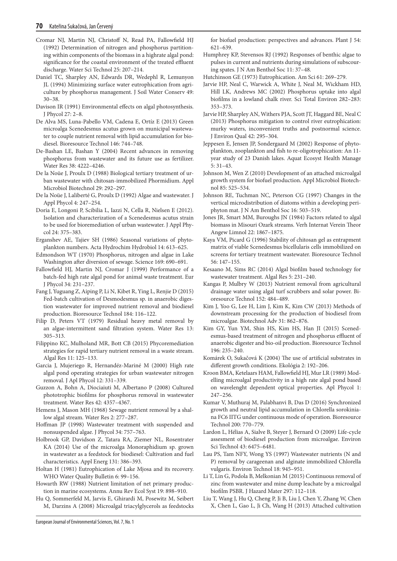- Cromar NJ, Martin NJ, Christoff N, Read PA, Fallowfield HJ (1992) Determination of nitrogen and phosphorus partitioning within components of the biomass in a highrate algal pond: significance for the coastal environment of the treated effluent discharge. Water Sci Technol 25: 207–214.
- Daniel TC, Sharpley AN, Edwards DR, Wedephl R, Lemunyon JL (1994) Minimizing surface water eutrophication from agriculture by phosphorus management. J Soil Water Conserv 49: 30–38.
- Davison IR (1991) Environmental effects on algal photosynthesis. J Phycol 27: 2–8.
- De Alva MS, Luna-Pabello VM, Cadena E, Ortíz E (2013) Green microalga Scenedesmus acutus grown on municipal wastewater to couple nutrient removal with lipid accumulation for biodiesel. Bioresource Technol 146: 744–748.
- De-Bashan LE, Bashan Y (2004) Recent advances in removing phosphorus from wastewater and its future use as fertilizer. Water Res 38: 4222–4246.
- De la Noüe J, Proulx D (1988) Biological tertiary treatment of urban wastewater with chitosan-immobilized Phormidium. Appl Microbiol Biotechnol 29: 292–297.
- De la Noüe J, Laliberté G, Proulx D (1992) Algae and wastewater. J Appl Phycol 4: 247–254.
- Doria E, Longoni P, Scibilia L, Iazzi N, Cella R, Nielsen E (2012). Isolation and characterization of a Scenedesmus acutus strain to be used for bioremediation of urban wastewater. J Appl Phycol 24: 375–383.
- Erganshev AE, Tajiev SH (1986) Seasonal variations of phytoplankton numbers. Acta Hydrochim Hydrobiol 14: 613–625.
- Edmondson WT (1970) Phosphorus, nitrogen and algae in Lake Washington after diversion of sewage. Science 169: 690–691.
- Fallowfield HJ, Martin NJ, Cromar J (1999) Performance of a batch-fed high rate algal pond for animal waste treatment. Eur J Phycol 34: 231–237.
- Fang J, Yuguang Z, Aiping P, Li N, Kibet R, Ying L, Renjie D (2015) Fed-batch cultivation of Desmodesmus sp. in anaerobic digestion wastewater for improved nutrient removal and biodiesel production. Bioresource Technol 184: 116–122.
- Filip D, Peters VT (1979) Residual heavy metal removal by an algae-intermittent sand filtration system. Water Res 13: 305–313.
- Filippino KC, Mulholand MR, Bott CB (2015) Phycoremediation strategies for rapid tertiary nutrient removal in a waste stream. Algal Res 11: 125–133.
- Garcia J, Mujeriego R, Hernandéz-Mariné M (2000) High rate algal pond operating strategies for urban wastewater nitrogen removal. J Apl Phycol 12: 331–339.
- Guzzon A, Bohn A, Diociaiuti M, Albertano P (2008) Cultured phototrophic biofilms for phosphorus removal in wastewater treatment. Water Res 42: 4357–4367.
- Hemens J, Mason MH (1968) Sewage nutrient removal by a shallow algal stream. Water Res 2: 277–287.
- Hoffman JP (1998) Wastewater treatment with suspended and nonsuspended algae. J Phycol 34: 757–763.
- Holbrook GP, Davidson Z, Tatara RA, Ziemer NL, Rosentrater KA (2014) Use of the microalga Monoraphidium sp. grown in wastewater as a feedstock for biodiesel: Cultivation and fuel characteristics. Appl Energ 131: 386–393.
- Holtan H (1981) Eutrophication of Lake Mjosa and its recovery. WHO Water Quality Bulletin 6: 99–156.
- Howarth RW (1988) Nutrient limitation of net primary production in marine ecosystems. Annu Rev Ecol Syst 19: 898–910.
- Hu Q, Sommerfeld M, Jarvis E, Ghirardi M, Posewitz M, Seibert M, Darzins A (2008) Microalgal triacylglycerols as feedstocks

for biofuel production: perspectives and advances. Plant J 54: 621–639.

- Humphrey KP, Stevensos RJ (1992) Responses of benthic algae to pulses in current and nutrients during simulations of subscouring spates. J N Am Benthol Soc 11: 37–48.
- Hutchinson GE (1973) Eutrophication. Am Sci 61: 269–279.
- Jarvie HP, Neal C, Warwick A, White J, Neal M, Wickham HD, Hill LK, Andrews MC (2002) Phosphorus uptake into algal biofilms in a lowland chalk river. Sci Total Environ 282–283: 353–373.
- Jarvie HP, Sharpley AN, Withers PJA, Scott JT, Haggard BE, Neal C (2013) Phosphorus mitigation to control river eutrophication: murky waters, inconvenient truths and postnormal science. J Environ Qual 42: 295–304.
- Jeppesen E, Jensen JP, Sondergaard M (2002) Response of phytoplankton, zooplankton and fish to re-oligotrophication: An 11 year study of 23 Danish lakes. Aquat Ecosyst Health Manage 5: 31–43.
- Johnson M, Wen Z (2010) Development of an attached microalgal growth system for biofuel production. Appl Microbiol Biotechnol 85: 525–534.
- Johnson RE, Tuchman NC, Peterson CG (1997) Changes in the vertical microdistribution of diatoms within a developing periphyton mat. J N Am Benthol Soc 16: 503–519.
- Jones JR, Smart MM, Buroughs JN (1984) Factors related to algal biomass in Misouri Ozark streams. Verh Internat Verein Theor Angew Limnol 22: 1867–1875.
- Kaya VM, Picard G (1996) Stability of chitosan gel as entrapment matrix of viable Scenedesmus bicellularis cells immobilized on screens for tertiary treatment wastewater. Bioresource Technol 56: 147–155.
- Kesaano M, Sims RC (2014) Algal biofilm based technology for wastewater treatment. Algal Res 5: 231–240.
- Kangas P, Mulbry W (2013) Nutrient removal from agricultural drainage water using algal turf scrubbers and solar power. Bioresource Technol 152: 484–489.
- Kim J, Yoo G, Lee H, Lim J, Kim K, Kim CW (2013) Methods of downstream processing for the production of biodiesel from microalgae. Biotechnol Adv 31: 862–876.
- Kim GY, Yun YM, Shin HS, Kim HS, Han JI (2015) Scenedesmus-based treatment of nitrogen and phosphorus effluent of anaerobic digester and bio-oil production. Bioresource Technol 196: 235–240.
- Komárek O, Sukačová K (2004) The use of artificial substrates in different growth conditions. Ekológia 2: 192–206.
- Kroon BMA, Ketelaars HAM, Fallowfield HJ, Mur LR (1989) Modelling microalgal productivity in a high rate algal pond based on wavelenght dependent optical properties. Apl Phycol 1: 247–256.
- Kumar V, Muthuraj M, Palabhanvi B, Das D (2016) Synchronized growth and neutral lipid accumulation in Chlorella sorokiniana FC6 IITG under continuous mode of operation. Bioresource Technol 200: 770–779.
- Lardon L, Hélias A, Sialve B, Steyer J, Bernard O (2009) Life-cycle assesment of biodiesel production from microalgae. Environ Sci Technol 43: 6475–6481.
- Lau PS, Tam NFY, Wong YS (1997) Wastewater nutrients (N and P) removal by carageenan and alginate immobilized Chlorella vulgaris. Environ Technol 18: 945–951.
- Li T, Lin G, Podola B, Melkonian M (2015) Continuous removal of zinc from wastewater and mine dump leachate by a microalgal biofilm PSBR. J Hazard Mater 297: 112–118.
- Liu T, Wang J, Hu Q, Cheng P, Ji B, Liu J, Chen Y, Zhang W, Chen X, Chen L, Gao L, Ji Ch, Wang H (2013) Attached cultivation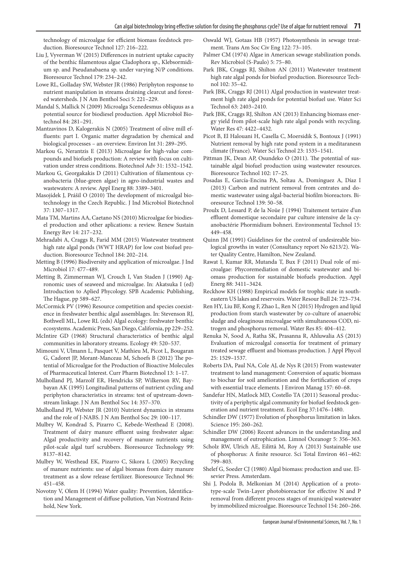technology of microalgae for efficient biomass feedstock production. Bioresource Technol 127: 216–222.

- Liu J, Vyverman W (2015) Differences in nutrient uptake capacity of the benthic filamentous algae Cladophora sp., Klebsormidium sp. and Pseudanabaena sp. under varying N/P conditions. Bioresource Technol 179: 234–242.
- Lowe RL, Golladay SW, Webster JR (1986) Periphyton response to nutrient manipulation in streams draining clearcut and forested watersheds. J N Am Benthol Soci 5: 221–229.
- Mandal S, Mallick N (2009) Microalga Scenedesmus obliquus as a potential source for biodiesel production. Appl Microbiol Biotechnol 84: 281–291.
- Mantzavinos D, Kalogerakis N (2005) Treatment of olive mill effluents: part I. Organic matter degradation by chemical and biological processes – an overview. Environ Int 31: 289–295.
- Markou G, Nerantzis E (2013) Microalgae for high-value compounds and biofuels production: A review with focus on cultivation under stress conditions. Biotechnol Adv 31: 1532–1542.
- Markou G, Georgakakis D (2011) Cultivation of filamentous cyanobacteria (blue-green algae) in agro-industrial wastes and wastewaters: A review. Appl Energ 88: 3389–3401.
- Masojídek J, Prášil O (2010) The development of microalgal biotechnology in the Czech Republic. J Ind Microbiol Biotechnol 37: 1307–1317.
- Mata TM, Martins AA, Caetano NS (2010) Microalgae for biodiesel production and other aplications: a review. Renew Sustain Energy Rev 14: 217–232.
- Mehradabi A, Craggs R, Farid MM (2015) Wastewater treatment high rate algal ponds (WWT HRAP) for low cost biofuel production. Bioresource Technol 184: 202–214.
- Metting B (1996) Biodiversity and application of microalgae. J Ind Microbiol 17: 477–489.
- Metting B, Zimmerman WJ, Crouch I, Van Staden J (1990) Agronomic uses of seaweed and microalgae. In: Akatsuka I (ed) Introduction to Aplied Phycology. SPB Academic Publishing, The Hague, pp 589–627.
- McCormick PV (1996) Resource competition and species coexistence in freshwater benthic algal assemblages. In: Stevenson RJ, Bothwell ML, Lowe RL (eds) Algal ecology: freshwater benthic ecosystems. Academic Press, San Diego, California, pp 229–252.
- McIntire GD (1968) Structural characteristics of benthic algal communities in laboratory streams. Ecology 49: 520–537.
- Mimouni V, Ulmann L, Pasquet V, Mathieu M, Picot L, Bougaran G, Cadoret JP, Morant-Manceau M, Schoefs B (2012) The potential of Microalgae for the Production of Bioactive Molecules of Pharmaceutical Interest. Curr Pharm Biotechnol 13: 1–17.
- Mulholland PJ, Marzolf ER, Hendricks SP, Wilkerson RV, Baybayan AK (1995) Longitudinal patterns of nutrient cycling and periphyton characteristics in streams: test of upstream-downstream linkage. J N Am Benthol Soc 14: 357–370.
- Mulholland PJ, Webster JR (2010) Nutrient dynamics in streams and the role of J-NABS. J N Am Benthol Soc 29: 100–117.
- Mulbry W, Kondrad S, Pizarro C, Kebede-Westhead E (2008). Treatment of dairy manure effluent using freshwater algae: Algal productivity and recovery of manure nutrients using pilot-scale algal turf scrubbers. Bioresource Technology 99: 8137–8142.
- Mulbry W, Westhead EK, Pizarro C, Sikora L (2005) Recycling of manure nutrients: use of algal biomass from dairy manure treatment as a slow release fertilizer. Bioresource Technol 96: 451–458.
- Novotny V, Olem H (1994) Water quality: Prevention, Identification and Management of diffuse pollution, Van Nostrand Reinhold, New York.
- Oswald WJ, Gotaas HB (1957) Photosynthesis in sewage treatment. Trans Am Soc Civ Eng 122: 73–105.
- Palmer CM (1974) Algae in American sewage stabilization ponds. Rev Microbiol (S-Paulo) 5: 75–80.
- Park JBK, Craggs RJ, Shilton AN (2011) Wastewater treatment high rate algal ponds for biofuel production. Bioresource Technol 102: 35–42.
- Park JBK, Craggs RJ (2011) Algal production in wastewater treatment high rate algal ponds for potential biofuel use. Water Sci Technol 63: 2403–2410.
- Park JBK, Craggs RJ, Shilton AN (2013) Enhancing biomass energy yield from pilot-scale high rate algal ponds with recycling. Water Res 47: 4422–4432.
- Picot B, El Halouani H, Casella C, Moersidik S, Bontoux J (1991) Nutrient removal by high rate pond system in a meditaranesn climate (France). Water Sci Technol 23: 1535–1541.
- Pittman JK, Dean AP, Osundeko O (2011). The potential of sustainable algal biofuel production using wastewater resources. Bioresource Technol 102: 17–25.
- Posadas E, García-Encina PA, Soltau A, Domínguez A, Díaz I (2013) Carbon and nutrient removal from centrates and domestic wastewater using algal-bacterial biofilm bioreactors. Bioresource Technol 139: 50–58.
- Proulx D, Lessard P, de la Noüe J (1994) Traitement tertaire d'un effluent domestique secondaire par culture intensive de la cyanobactérie Phormidium bohneri. Environmental Technol 15: 449–458.
- Quinn JM (1991) Guidelines for the control of undesireable biological growths in water (Consultancy report No 6213/2). Water Quality Centre, Hamilton, New Zealand.
- Rawat I, Kumar RR, Mutanda T, Bux F (2011) Dual role of microalgae: Phycoremediation of domestic wastewater and biomass production for sustainable biofuels production. Appl Energ 88: 3411–3424.
- Reckhow KH (1988) Empirical models for trophic state in southeastern US lakes and reservoirs. Water Resour Bull 24: 723–734.
- Ren HY, Liu BF, Kong F, Zhao L, Ren N (2015) Hydrogen and lipid production from starch wastewater by co-culture of anaerobic sludge and oleaginous microalgae with simultaneous COD, nitrogen and phosphorus removal. Water Res 85: 404–412.
- Renuka N, Sood A, Ratha SK, Prasanna R, Ahluwalia AS (2013) Evaluation of microalgal consortia for treatment of primary treated sewage effluent and biomass production. J Appl Phycol 25: 1529–1537.
- Roberts DA, Paul NA, Cole AJ, de Nys R (2015) From wastewater treatment to land management: Conversion of aquatic biomass to biochar for soil amelioration and the fortification of crops with essential trace elements. J Environ Manag 157: 60–68.
- Sandefur HN, Matlock MD, Costello TA (2011) Seasonal productivity of a periphytic algal community for biofuel feedstock generation and nutrient treatment. Ecol Eng 37:1476–1480.
- Schindler DW (1977) Evolution of phosphorus limitation in lakes. Science 195: 260–262.
- Schindler DW (2006) Recent advances in the understanding and management of eutrophication. Limnol Oceanogr 5: 356–363.
- Scholz RW, Ulrich AE, Eilittä M, Roy A (2013) Sustainable use of phosphorus: A finite resource. Sci Total Environ 461–462: 799–803.
- Shelef G, Soeder CJ (1980) Algal biomass: production and use. Elsevier Press. Amsterdam.
- Shi J, Podola B, Melkonian M (2014) Application of a prototype-scale Twin-Layer photobioreactor for effective N and P removal from different process stages of municipal wastewater by immobilized microalgae. Bioresource Technol 154: 260–266.